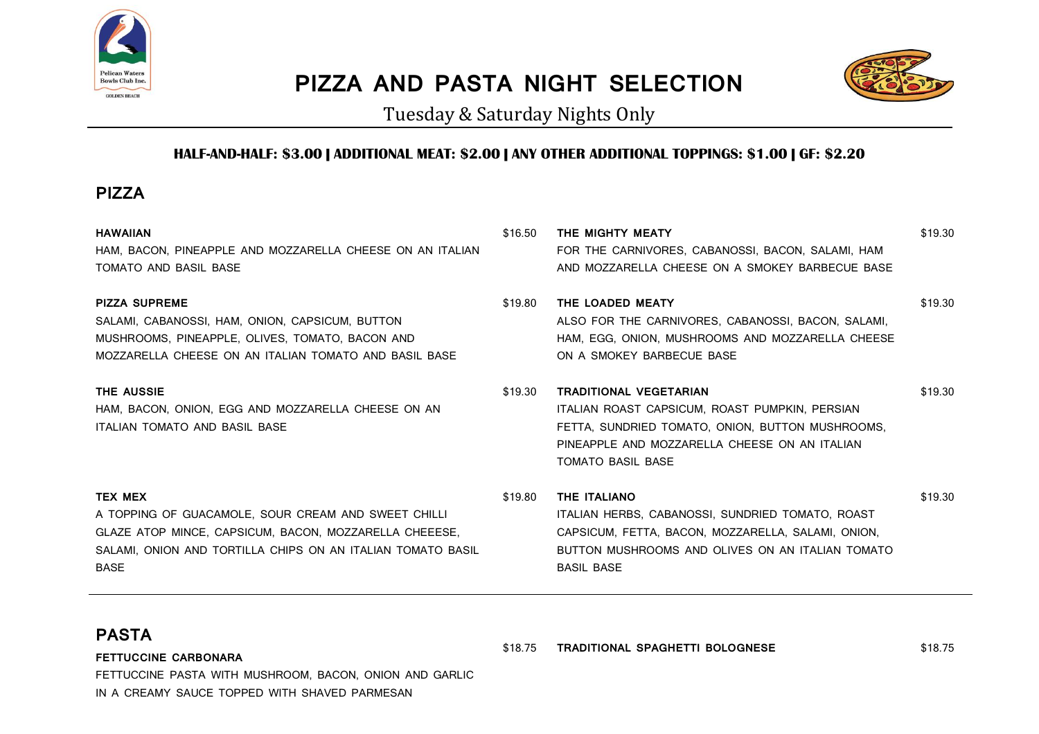

## **PIZZA AND PASTA NIGHT SELECTION**



Tuesday & Saturday Nights Only

## **HALF-AND-HALF: \$3.00 | ADDITIONAL MEAT: \$2.00 | ANY OTHER ADDITIONAL TOPPINGS: \$1.00 | GF: \$2.20**

## **PIZZA**

| <b>HAWAIIAN</b><br>HAM, BACON, PINEAPPLE AND MOZZARELLA CHEESE ON AN ITALIAN<br>TOMATO AND BASIL BASE                                                                                                         | \$16.50 | THE MIGHTY MEATY<br>FOR THE CARNIVORES, CABANOSSI, BACON, SALAMI, HAM<br>AND MOZZARELLA CHEESE ON A SMOKEY BARBECUE BASE                                                                                         | \$19.30 |
|---------------------------------------------------------------------------------------------------------------------------------------------------------------------------------------------------------------|---------|------------------------------------------------------------------------------------------------------------------------------------------------------------------------------------------------------------------|---------|
| <b>PIZZA SUPREME</b><br>SALAMI, CABANOSSI, HAM, ONION, CAPSICUM, BUTTON<br>MUSHROOMS, PINEAPPLE, OLIVES, TOMATO, BACON AND<br>MOZZARELLA CHEESE ON AN ITALIAN TOMATO AND BASIL BASE                           | \$19.80 | THE LOADED MEATY<br>ALSO FOR THE CARNIVORES, CABANOSSI, BACON, SALAMI,<br>HAM, EGG, ONION, MUSHROOMS AND MOZZARELLA CHEESE<br>ON A SMOKEY BARBECUE BASE                                                          | \$19.30 |
| <b>THE AUSSIE</b><br>HAM, BACON, ONION, EGG AND MOZZARELLA CHEESE ON AN<br>ITALIAN TOMATO AND BASIL BASE                                                                                                      | \$19.30 | <b>TRADITIONAL VEGETARIAN</b><br>ITALIAN ROAST CAPSICUM, ROAST PUMPKIN, PERSIAN<br>FETTA, SUNDRIED TOMATO, ONION, BUTTON MUSHROOMS,<br>PINEAPPLE AND MOZZARELLA CHEESE ON AN ITALIAN<br><b>TOMATO BASIL BASE</b> | \$19.30 |
| <b>TEX MEX</b><br>A TOPPING OF GUACAMOLE, SOUR CREAM AND SWEET CHILLI<br>GLAZE ATOP MINCE, CAPSICUM, BACON, MOZZARELLA CHEEESE,<br>SALAMI, ONION AND TORTILLA CHIPS ON AN ITALIAN TOMATO BASIL<br><b>BASE</b> | \$19.80 | THE ITALIANO<br>ITALIAN HERBS, CABANOSSI, SUNDRIED TOMATO, ROAST<br>CAPSICUM, FETTA, BACON, MOZZARELLA, SALAMI, ONION,<br>BUTTON MUSHROOMS AND OLIVES ON AN ITALIAN TOMATO<br><b>BASIL BASE</b>                  | \$19.30 |

## **PASTA**

**FETTUCCINE CARBONARA** FETTUCCINE PASTA WITH MUSHROOM, BACON, ONION AND GARLIC IN A CREAMY SAUCE TOPPED WITH SHAVED PARMESAN

\$18.75 **TRADITIONAL SPAGHETTI BOLOGNESE** \$18.75